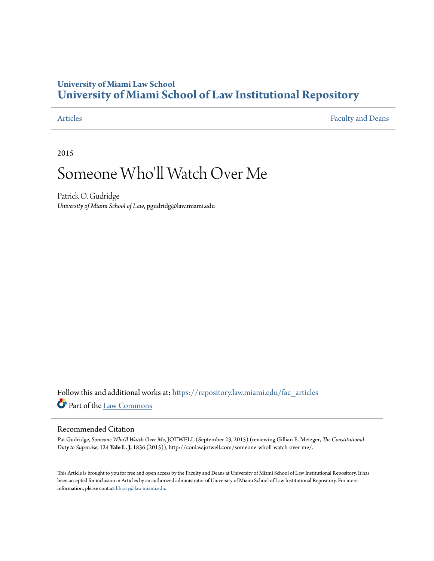### **University of Miami Law School [University of Miami School of Law Institutional Repository](https://repository.law.miami.edu?utm_source=repository.law.miami.edu%2Ffac_articles%2F557&utm_medium=PDF&utm_campaign=PDFCoverPages)**

[Articles](https://repository.law.miami.edu/fac_articles?utm_source=repository.law.miami.edu%2Ffac_articles%2F557&utm_medium=PDF&utm_campaign=PDFCoverPages) [Faculty and Deans](https://repository.law.miami.edu/faculty_publications?utm_source=repository.law.miami.edu%2Ffac_articles%2F557&utm_medium=PDF&utm_campaign=PDFCoverPages)

2015

## Someone Who'll Watch Over Me

Patrick O. Gudridge *University of Miami School of Law*, pgudridg@law.miami.edu

Follow this and additional works at: [https://repository.law.miami.edu/fac\\_articles](https://repository.law.miami.edu/fac_articles?utm_source=repository.law.miami.edu%2Ffac_articles%2F557&utm_medium=PDF&utm_campaign=PDFCoverPages) Part of the [Law Commons](http://network.bepress.com/hgg/discipline/578?utm_source=repository.law.miami.edu%2Ffac_articles%2F557&utm_medium=PDF&utm_campaign=PDFCoverPages)

#### Recommended Citation

Pat Gudridge, *Someone Who'll Watch Over Me*, JOTWELL (September 23, 2015) (reviewing Gillian E. Metzger, *The Constitutional Duty to Supervise*, 124 **Yale L. J.** 1836 (2015)), http://conlaw.jotwell.com/someone-wholl-watch-over-me/.

This Article is brought to you for free and open access by the Faculty and Deans at University of Miami School of Law Institutional Repository. It has been accepted for inclusion in Articles by an authorized administrator of University of Miami School of Law Institutional Repository. For more information, please contact [library@law.miami.edu.](mailto:library@law.miami.edu)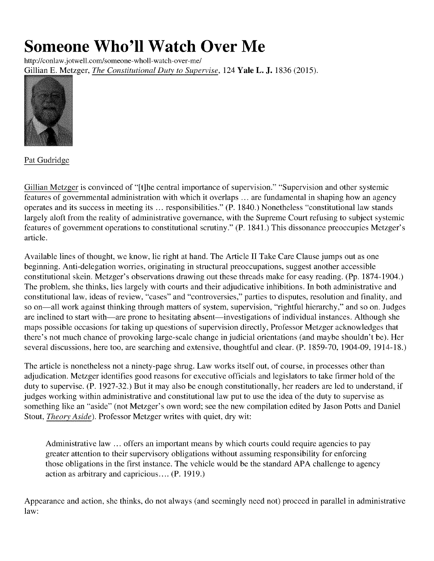# **Someone Who'll Watch Over Me**

http://conlaw.jotwell.com/someone-wholl-watch-over-me/ Gillian E. Metzger, *The Constitutional Duty to Supervise*, 124 Yale L. J. 1836 (2015).



Pat Gudridge

Gillian Metzger is convinced of "[t]he central importance of supervision." "Supervision and other systemic features of governmental administration with which it overlaps **...** are fundamental in shaping how an agency operates and its success in meeting its **...** responsibilities." (P. 1840.) Nonetheless "constitutional law stands largely aloft from the reality of administrative governance, with the Supreme Court refusing to subject systemic features of government operations to constitutional scrutiny." (P. **1841.)** This dissonance preoccupies Metzger's article.

Available lines of thought, we know, lie right at hand. The Article II Take Care Clause jumps out as one beginning. Anti-delegation worries, originating in structural preoccupations, suggest another accessible constitutional skein. Metzger's observations drawing out these threads make for easy reading. **(Pp.** 1874-1904.) The problem, she thinks, lies largely with courts and their adjudicative inhibitions. In both administrative and constitutional law, ideas of review, "cases" and "controversies," parties to disputes, resolution and finality, and so on—all work against thinking through matters of system, supervision, "rightful hierarchy," and so on. Judges are inclined to start with—are prone to hesitating absent—investigations of individual instances. Although she maps possible occasions for taking up questions of supervision directly, Professor Metzger acknowledges that there's not much chance of provoking large-scale change in judicial orientations (and maybe shouldn't be). Her several discussions, here too, are searching and extensive, thoughtful and clear. (P. **1859-70,** 1904-09, 1914-18.)

The article is nonetheless not a ninety-page shrug. Law works itself out, of course, in processes other than adjudication. Metzger identifies good reasons for executive officials and legislators to take firmer hold of the duty to supervise. (P. **1927-32.)** But it may also be enough constitutionally, her readers are led to understand, if judges working within administrative and constitutional law put to use the idea of the duty to supervise as something like an "aside" (not Metzger's own word; see the new compilation edited **by** Jason Potts and Daniel Stout, *Theory Aside).* Professor Metzger writes with quiet, dry wit:

Administrative law **...** offers an important means **by** which courts could require agencies to pay greater attention to their supervisory obligations without assuming responsibility for enforcing those obligations in the first instance. The vehicle would be the standard **APA** challenge to agency action as arbitrary and capricious.... (P. **1919.)**

Appearance and action, she thinks, do not always (and seemingly need not) proceed in parallel in administrative law: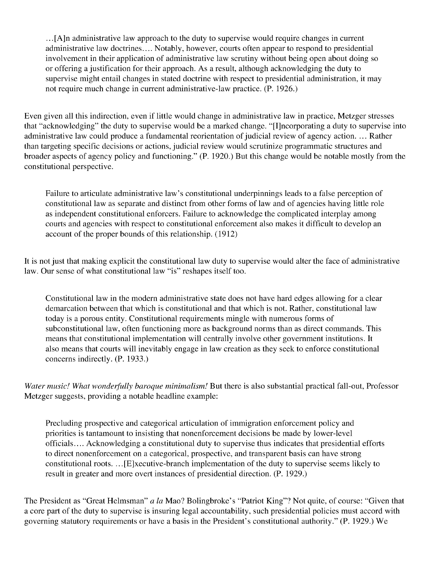**...** [A]n administrative law approach to the duty to supervise would require changes in current administrative law doctrines.... Notably, however, courts often appear to respond to presidential involvement in their application of administrative law scrutiny without being open about doing so or offering a justification for their approach. As a result, although acknowledging the duty to supervise might entail changes in stated doctrine with respect to presidential administration, it may not require much change in current administrative-law practice. (P. **1926.)**

Even given all this indirection, even if little would change in administrative law in practice, Metzger stresses that "acknowledging" the duty to supervise would be a marked change. "[I]ncorporating a duty to supervise into administrative law could produce a fundamental reorientation of judicial review of agency action. **...** Rather than targeting specific decisions or actions, judicial review would scrutinize programmatic structures and broader aspects of agency policy and functioning." (P. **1920.)** But this change would be notable mostly from the constitutional perspective.

Failure to articulate administrative law's constitutional underpinnings leads to a false perception of constitutional law as separate and distinct from other forms of law and of agencies having little role as independent constitutional enforcers. Failure to acknowledge the complicated interplay among courts and agencies with respect to constitutional enforcement also makes it difficult to develop an account of the proper bounds of this relationship. **(1912)**

It is not just that making explicit the constitutional law duty to supervise would alter the face of administrative law. Our sense of what constitutional law "is" reshapes itself too.

Constitutional law in the modern administrative state does not have hard edges allowing for a clear demarcation between that which is constitutional and that which is not. Rather, constitutional law today is a porous entity. Constitutional requirements mingle with numerous forms of subconstitutional law, often functioning more as background norms than as direct commands. This means that constitutional implementation will centrally involve other government institutions. It also means that courts will inevitably engage in law creation as they seek to enforce constitutional concerns indirectly. (P. **1933.)**

*Water music! What wonderfully baroque minimalism!* But there is also substantial practical fall-out, Professor Metzger suggests, providing a notable headline example:

Precluding prospective and categorical articulation of immigration enforcement policy and priorities is tantamount to insisting that nonenforcement decisions be made **by** lower-level officials.... Acknowledging a constitutional duty to supervise thus indicates that presidential efforts to direct nonenforcement on a categorical, prospective, and transparent basis can have strong constitutional roots. **...** [E]xecutive-branch implementation of the duty to supervise seems likely to result in greater and more overt instances of presidential direction. (P. **1929.)**

The President as "Great Helmsman" *a la* Mao? Bolingbroke's "Patriot King"? Not quite, of course: "Given that a core part of the duty to supervise is insuring legal accountability, such presidential policies must accord with governing statutory requirements or have a basis in the President's constitutional authority." (P. **1929.)** We